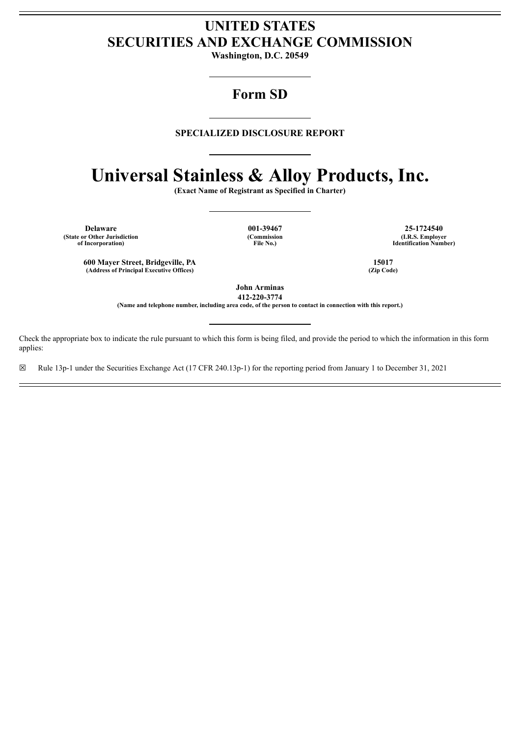# **UNITED STATES SECURITIES AND EXCHANGE COMMISSION**

**Washington, D.C. 20549**

## **Form SD**

## **SPECIALIZED DISCLOSURE REPORT**

# **Universal Stainless & Alloy Products, Inc.**

**(Exact Name of Registrant as Specified in Charter)**

**(State or Other Jurisdiction of Incorporation)**

**(Commission File No.)**

**Delaware 001-39467 25-1724540 (I.R.S. Employer Identification Number)**

**600 Mayer Street, Bridgeville, PA 15017**  $(A$ ddress of **Principal Executive** Offices)

**John Arminas 412-220-3774**

(Name and telephone number, including area code, of the person to contact in connection with this report.)

Check the appropriate box to indicate the rule pursuant to which this form is being filed, and provide the period to which the information in this form applies:

☒ Rule 13p-1 under the Securities Exchange Act (17 CFR 240.13p-1) for the reporting period from January 1 to December 31, 2021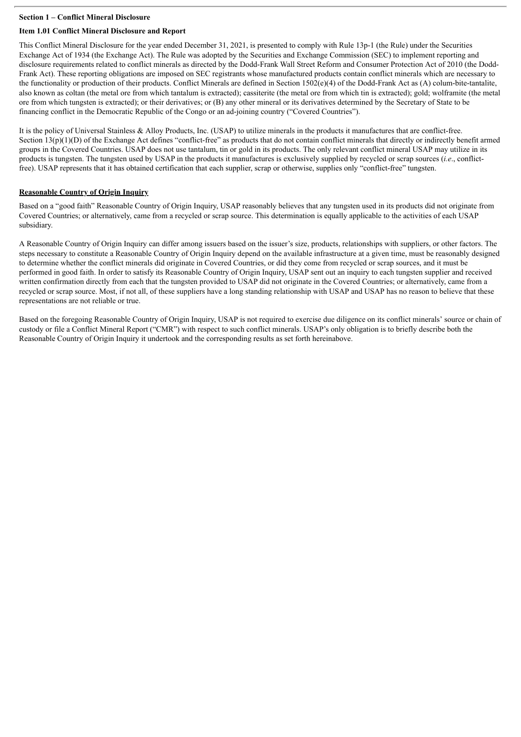#### **Section 1 – Conflict Mineral Disclosure**

#### **Item 1.01 Conflict Mineral Disclosure and Report**

This Conflict Mineral Disclosure for the year ended December 31, 2021, is presented to comply with Rule 13p-1 (the Rule) under the Securities Exchange Act of 1934 (the Exchange Act). The Rule was adopted by the Securities and Exchange Commission (SEC) to implement reporting and disclosure requirements related to conflict minerals as directed by the Dodd-Frank Wall Street Reform and Consumer Protection Act of 2010 (the Dodd-Frank Act). These reporting obligations are imposed on SEC registrants whose manufactured products contain conflict minerals which are necessary to the functionality or production of their products. Conflict Minerals are defined in Section 1502(e)(4) of the Dodd-Frank Act as (A) colum-bite-tantalite, also known as coltan (the metal ore from which tantalum is extracted); cassiterite (the metal ore from which tin is extracted); gold; wolframite (the metal ore from which tungsten is extracted); or their derivatives; or (B) any other mineral or its derivatives determined by the Secretary of State to be financing conflict in the Democratic Republic of the Congo or an ad-joining country ("Covered Countries").

It is the policy of Universal Stainless & Alloy Products, Inc. (USAP) to utilize minerals in the products it manufactures that are conflict-free. Section  $13(p)(1)(D)$  of the Exchange Act defines "conflict-free" as products that do not contain conflict minerals that directly or indirectly benefit armed groups in the Covered Countries. USAP does not use tantalum, tin or gold in its products. The only relevant conflict mineral USAP may utilize in its products is tungsten. The tungsten used by USAP in the products it manufactures is exclusively supplied by recycled or scrap sources (*i.e*., conflictfree). USAP represents that it has obtained certification that each supplier, scrap or otherwise, supplies only "conflict-free" tungsten.

#### **Reasonable Country of Origin Inquiry**

Based on a "good faith" Reasonable Country of Origin Inquiry, USAP reasonably believes that any tungsten used in its products did not originate from Covered Countries; or alternatively, came from a recycled or scrap source. This determination is equally applicable to the activities of each USAP subsidiary.

A Reasonable Country of Origin Inquiry can differ among issuers based on the issuer's size, products, relationships with suppliers, or other factors. The steps necessary to constitute a Reasonable Country of Origin Inquiry depend on the available infrastructure at a given time, must be reasonably designed to determine whether the conflict minerals did originate in Covered Countries, or did they come from recycled or scrap sources, and it must be performed in good faith. In order to satisfy its Reasonable Country of Origin Inquiry, USAP sent out an inquiry to each tungsten supplier and received written confirmation directly from each that the tungsten provided to USAP did not originate in the Covered Countries; or alternatively, came from a recycled or scrap source. Most, if not all, of these suppliers have a long standing relationship with USAP and USAP has no reason to believe that these representations are not reliable or true.

Based on the foregoing Reasonable Country of Origin Inquiry, USAP is not required to exercise due diligence on its conflict minerals' source or chain of custody or file a Conflict Mineral Report ("CMR") with respect to such conflict minerals. USAP's only obligation is to briefly describe both the Reasonable Country of Origin Inquiry it undertook and the corresponding results as set forth hereinabove.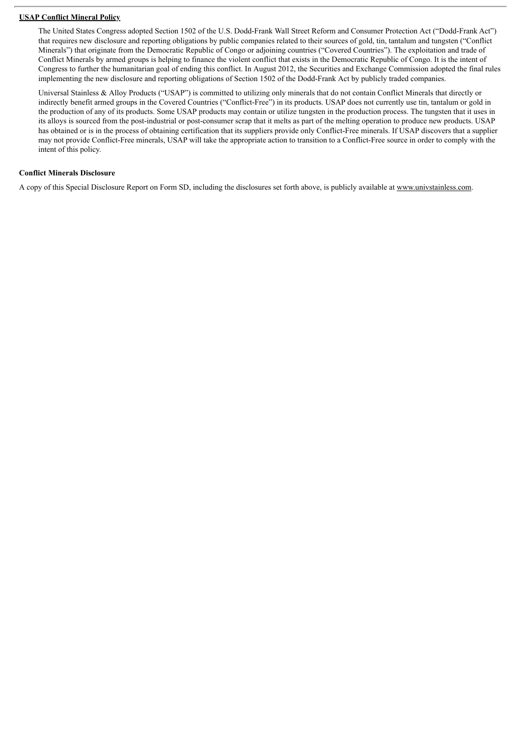#### **USAP Conflict Mineral Policy**

The United States Congress adopted Section 1502 of the U.S. Dodd-Frank Wall Street Reform and Consumer Protection Act ("Dodd-Frank Act") that requires new disclosure and reporting obligations by public companies related to their sources of gold, tin, tantalum and tungsten ("Conflict Minerals") that originate from the Democratic Republic of Congo or adjoining countries ("Covered Countries"). The exploitation and trade of Conflict Minerals by armed groups is helping to finance the violent conflict that exists in the Democratic Republic of Congo. It is the intent of Congress to further the humanitarian goal of ending this conflict. In August 2012, the Securities and Exchange Commission adopted the final rules implementing the new disclosure and reporting obligations of Section 1502 of the Dodd-Frank Act by publicly traded companies.

Universal Stainless & Alloy Products ("USAP") is committed to utilizing only minerals that do not contain Conflict Minerals that directly or indirectly benefit armed groups in the Covered Countries ("Conflict-Free") in its products. USAP does not currently use tin, tantalum or gold in the production of any of its products. Some USAP products may contain or utilize tungsten in the production process. The tungsten that it uses in its alloys is sourced from the post-industrial or post-consumer scrap that it melts as part of the melting operation to produce new products. USAP has obtained or is in the process of obtaining certification that its suppliers provide only Conflict-Free minerals. If USAP discovers that a supplier may not provide Conflict-Free minerals, USAP will take the appropriate action to transition to a Conflict-Free source in order to comply with the intent of this policy.

#### **Conflict Minerals Disclosure**

A copy of this Special Disclosure Report on Form SD, including the disclosures set forth above, is publicly available at www.univstainless.com.